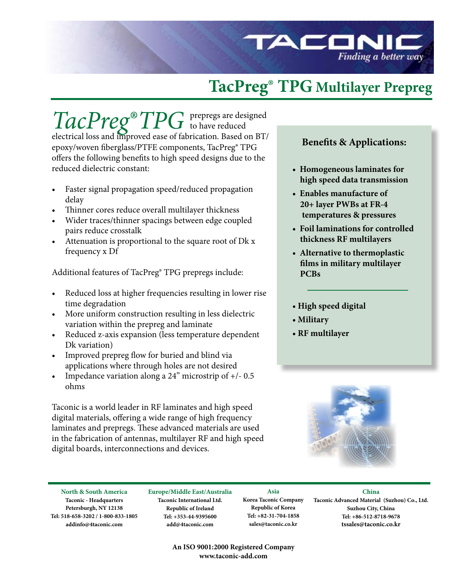

# **TacPreg® TPG Multilayer Prepreg**

 $TacPreg^{\circ}TP$ prepregs are designed to have reduced electrical loss and improved ease of fabrication. Based on BT/ epoxy/woven fiberglass/PTFE components, TacPreg® TPG offers the following benefits to high speed designs due to the reduced dielectric constant:

- Faster signal propagation speed/reduced propagation delay
- Thinner cores reduce overall multilayer thickness
- Wider traces/thinner spacings between edge coupled pairs reduce crosstalk
- Attenuation is proportional to the square root of  $Dk x$ frequency x Df

Additional features of TacPreg® TPG prepregs include:

- Reduced loss at higher frequencies resulting in lower rise time degradation
- More uniform construction resulting in less dielectric variation within the prepreg and laminate
- Reduced z-axis expansion (less temperature dependent Dk variation)
- Improved prepreg flow for buried and blind via applications where through holes are not desired
- Impedance variation along a  $24"$  microstrip of  $+/- 0.5$ ohms

Taconic is a world leader in RF laminates and high speed digital materials, offering a wide range of high frequency laminates and prepregs. These advanced materials are used in the fabrication of antennas, multilayer RF and high speed digital boards, interconnections and devices.

### **Benefits & Applications:**

- **Homogeneous laminates for high speed data transmission**
- **Enables manufacture of 20+ layer PWBs at FR-4 temperatures & pressures**
- **Foil laminations for controlled thickness RF multilayers**
- **Alternative to thermoplastic films in military multilayer PCBs**
- **High speed digital**
- **Military**
- **RF multilayer**



**North & South America Taconic - Headquarters Petersburgh, NY 12138 Tel: 518-658-3202 / 1-800-833-1805 addinfo@4taconic.com**

**Europe/Middle East/Australia Taconic International Ltd. Republic of Ireland Tel: +353-44-9395600 add@4taconic.com**

**Asia Korea Taconic Company Republic of Korea Tel: +82-31-704-1858 sales@taconic.co.kr**

l,

**China Taconic Advanced Material (Suzhou) Co., Ltd. Suzhou City, China Tel: +86-512-8718-9678 tssales@taconic.co.kr**

**An ISO 9001:2000 Registered Company www.taconic-add.com**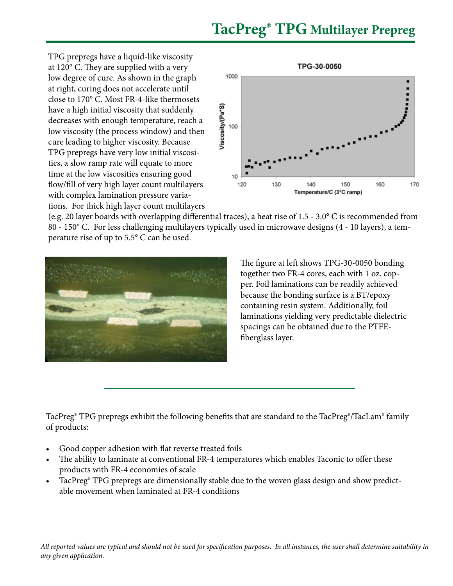## **TacPreg® TPG Multilayer Prepreg**

TPG prepregs have a liquid-like viscosity at 120° C. They are supplied with a very low degree of cure. As shown in the graph at right, curing does not accelerate until close to 170° C. Most FR-4-like thermosets have a high initial viscosity that suddenly decreases with enough temperature, reach a low viscosity (the process window) and then cure leading to higher viscosity. Because TPG prepregs have very low initial viscosities, a slow ramp rate will equate to more time at the low viscosities ensuring good flow/fill of very high layer count multilayers with complex lamination pressure variations. For thick high layer count multilayers



(e.g. 20 layer boards with overlapping differential traces), a heat rise of 1.5 - 3.0° C is recommended from 80 - 150° C. For less challenging multilayers typically used in microwave designs (4 - 10 layers), a temperature rise of up to 5.5° C can be used.



The figure at left shows TPG-30-0050 bonding together two FR-4 cores, each with 1 oz. copper. Foil laminations can be readily achieved because the bonding surface is a BT/epoxy containing resin system. Additionally, foil laminations yielding very predictable dielectric spacings can be obtained due to the PTFEfiberglass layer.

TacPreg® TPG prepregs exhibit the following benefits that are standard to the TacPreg®/TacLam® family of products:

- Good copper adhesion with flat reverse treated foils
- The ability to laminate at conventional FR-4 temperatures which enables Taconic to offer these products with FR-4 economies of scale
- TacPreg® TPG prepregs are dimensionally stable due to the woven glass design and show predictable movement when laminated at FR-4 conditions

*All reported values are typical and should not be used for specification purposes. In all instances, the user shall determine suitability in any given application.*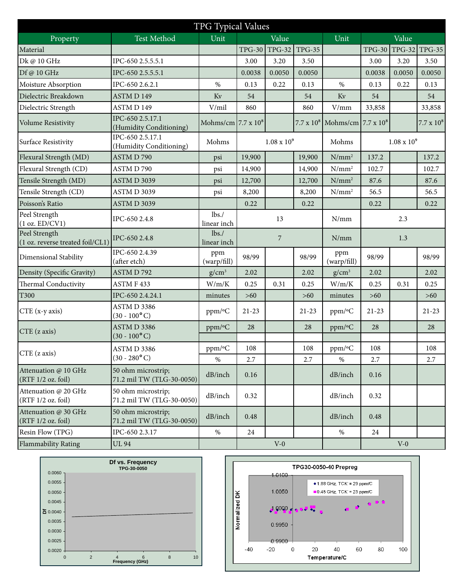| TPG Typical Values                                |                                                 |                            |                      |                |               |                                              |               |        |                   |
|---------------------------------------------------|-------------------------------------------------|----------------------------|----------------------|----------------|---------------|----------------------------------------------|---------------|--------|-------------------|
| Property                                          | <b>Test Method</b>                              | Unit                       |                      | Value          |               | Unit                                         |               | Value  |                   |
| Material                                          |                                                 |                            |                      | TPG-30 TPG-32  | <b>TPG-35</b> |                                              | <b>TPG-30</b> |        | TPG-32 TPG-35     |
| Dk @ 10 GHz                                       | IPC-650 2.5.5.5.1                               |                            | 3.00                 | 3.20           | 3.50          |                                              | 3.00          | 3.20   | 3.50              |
| Df @ 10 GHz                                       | IPC-650 2.5.5.5.1                               |                            | 0.0038               | 0.0050         | 0.0050        |                                              | 0.0038        | 0.0050 | 0.0050            |
| Moisture Absorption                               | IPC-650 2.6.2.1                                 | $\%$                       | 0.13                 | 0.22           | 0.13          | %                                            | 0.13          | 0.22   | 0.13              |
| Dielectric Breakdown                              | <b>ASTMD149</b>                                 | Kv                         | 54                   |                | 54            | $\rm Kv$                                     | 54            |        | 54                |
| Dielectric Strength                               | ASTM D 149                                      | V/mil                      | 860                  |                | 860           | V/mm                                         | 33,858        |        | 33,858            |
| Volume Resistivity                                | IPC-650 2.5.17.1<br>(Humidity Conditioning)     | Mohms/cm $7.7 \times 10^8$ |                      |                |               | $7.7 \times 10^8$ Mohms/cm $7.7 \times 10^8$ |               |        | $7.7 \times 10^8$ |
| Surface Resistivity                               | IPC-650 2.5.17.1<br>(Humidity Conditioning)     | Mohms                      | $1.08 \times 10^{9}$ |                | Mohms         | $1.08 \times 10^{9}$                         |               |        |                   |
| Flexural Strength (MD)                            | ASTM D 790                                      | psi                        | 19,900               |                | 19,900        | $N/mm^2$                                     | 137.2         |        | 137.2             |
| Flexural Strength (CD)                            | ASTM D 790                                      | psi                        | 14,900               |                | 14,900        | $N/mm^2$                                     | 102.7         |        | 102.7             |
| Tensile Strength (MD)                             | <b>ASTM D 3039</b>                              | psi                        | 12,700               |                | 12,700        | $N/mm^2$                                     | 87.6          |        | 87.6              |
| Tensile Strength (CD)                             | <b>ASTM D 3039</b>                              | psi                        | 8,200                |                | 8,200         | $N/mm^2$                                     | 56.5          |        | 56.5              |
| Poisson's Ratio                                   | <b>ASTM D 3039</b>                              |                            | 0.22                 |                | 0.22          |                                              | 0.22          |        | 0.22              |
| Peel Strength<br>(1 oz. ED/CV1)                   | IPC-650 2.4.8                                   | lbs.<br>linear inch        |                      | 13             |               | N/mm                                         |               | 2.3    |                   |
| Peel Strength<br>(1 oz. reverse treated foil/CL1) | IPC-650 2.4.8                                   | lbs.<br>linear inch        |                      | $\overline{7}$ |               | N/mm                                         |               | 1.3    |                   |
| Dimensional Stability                             | IPC-650 2.4.39<br>(after etch)                  | ppm<br>(warp/fill)         | 98/99                |                | 98/99         | ppm<br>(warp/fill)                           | 98/99         |        | 98/99             |
| Density (Specific Gravity)                        | ASTMD792                                        | $g/cm^3$                   | 2.02                 |                | 2.02          | $g/cm^3$                                     | 2.02          |        | 2.02              |
| Thermal Conductivity                              | ASTM F 433                                      | W/m/K                      | 0.25                 | 0.31           | 0.25          | W/m/K                                        | 0.25          | 0.31   | 0.25              |
| T300                                              | IPC-650 2.4.24.1                                | minutes                    | $>60$                |                | $>60$         | minutes                                      | $>60$         |        | $>60$             |
| CTE (x-y axis)                                    | ASTM D 3386<br>$(30 - 100^{\circ} C)$           | ppm/°C                     | $21 - 23$            |                | $21 - 23$     | ppm/°C                                       | $21 - 23$     |        | $21 - 23$         |
| $CTE$ (z axis)                                    | ASTM D 3386<br>$(30 - 100^{\circ} C)$           | ppm/°C                     | 28                   |                | 28            | ppm/°C                                       | 28            |        | 28                |
| CTE (z axis)                                      | ASTM D 3386                                     | $ppm$ /°C                  | 108                  |                | 108           | $ppm$ /°C                                    | 108           |        | 108               |
|                                                   | $(30 - 280$ °C)                                 | $\%$                       | 2.7                  |                | 2.7           | $\%$                                         | 2.7           |        | 2.7               |
| Attenuation @ 10 GHz<br>(RTF 1/2 oz. foil)        | 50 ohm microstrip;<br>71.2 mil TW (TLG-30-0050) | dB/inch                    | 0.16                 |                |               | dB/inch                                      | 0.16          |        |                   |
| Attenuation @ 20 GHz<br>(RTF 1/2 oz. foil)        | 50 ohm microstrip;<br>71.2 mil TW (TLG-30-0050) | dB/inch                    | 0.32                 |                |               | dB/inch                                      | 0.32          |        |                   |
| Attenuation @ 30 GHz<br>(RTF 1/2 oz. foil)        | 50 ohm microstrip;<br>71.2 mil TW (TLG-30-0050) | dB/inch                    | 0.48                 |                |               | dB/inch                                      | 0.48          |        |                   |
| Resin Flow (TPG)                                  | IPC-650 2.3.17                                  | $\%$                       | 24                   |                |               | $\%$                                         | 24            |        |                   |
| Flammability Rating                               | <b>UL 94</b>                                    |                            |                      | $V-0$          |               |                                              |               | $V-0$  |                   |